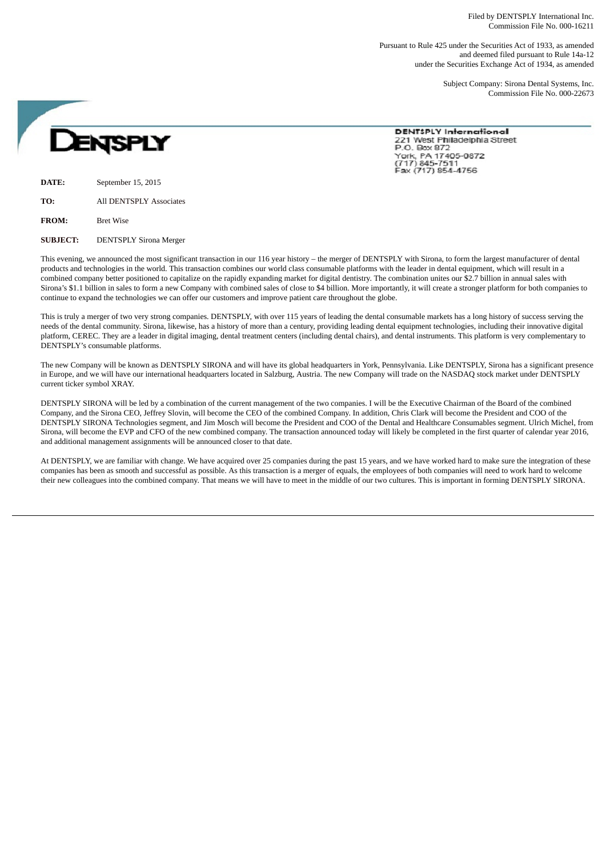Filed by DENTSPLY International Inc. Commission File No. 000-16211

Pursuant to Rule 425 under the Securities Act of 1933, as amended and deemed filed pursuant to Rule 14a-12 under the Securities Exchange Act of 1934, as amended

> Subject Company: Sirona Dental Systems, Inc. Commission File No. 000-22673

**ENSPLY** 

**DENTSPLY International** 221 West Philadelphia Street P.O. Box 872 York, PA 17405-0872<br>(717) 845-7511 Fax (717) 854-4756

**DATE:** September 15, 2015

**TO:** All DENTSPLY Associates

**FROM:** Bret Wise

**SUBJECT:** DENTSPLY Sirona Merger

This evening, we announced the most significant transaction in our 116 year history – the merger of DENTSPLY with Sirona, to form the largest manufacturer of dental products and technologies in the world. This transaction combines our world class consumable platforms with the leader in dental equipment, which will result in a combined company better positioned to capitalize on the rapidly expanding market for digital dentistry. The combination unites our \$2.7 billion in annual sales with Sirona's \$1.1 billion in sales to form a new Company with combined sales of close to \$4 billion. More importantly, it will create a stronger platform for both companies to continue to expand the technologies we can offer our customers and improve patient care throughout the globe.

This is truly a merger of two very strong companies. DENTSPLY, with over 115 years of leading the dental consumable markets has a long history of success serving the needs of the dental community. Sirona, likewise, has a history of more than a century, providing leading dental equipment technologies, including their innovative digital platform, CEREC. They are a leader in digital imaging, dental treatment centers (including dental chairs), and dental instruments. This platform is very complementary to DENTSPLY's consumable platforms.

The new Company will be known as DENTSPLY SIRONA and will have its global headquarters in York, Pennsylvania. Like DENTSPLY, Sirona has a significant presence in Europe, and we will have our international headquarters located in Salzburg, Austria. The new Company will trade on the NASDAQ stock market under DENTSPLY current ticker symbol XRAY.

DENTSPLY SIRONA will be led by a combination of the current management of the two companies. I will be the Executive Chairman of the Board of the combined Company, and the Sirona CEO, Jeffrey Slovin, will become the CEO of the combined Company. In addition, Chris Clark will become the President and COO of the DENTSPLY SIRONA Technologies segment, and Jim Mosch will become the President and COO of the Dental and Healthcare Consumables segment. Ulrich Michel, from Sirona, will become the EVP and CFO of the new combined company. The transaction announced today will likely be completed in the first quarter of calendar year 2016, and additional management assignments will be announced closer to that date.

At DENTSPLY, we are familiar with change. We have acquired over 25 companies during the past 15 years, and we have worked hard to make sure the integration of these companies has been as smooth and successful as possible. As this transaction is a merger of equals, the employees of both companies will need to work hard to welcome their new colleagues into the combined company. That means we will have to meet in the middle of our two cultures. This is important in forming DENTSPLY SIRONA.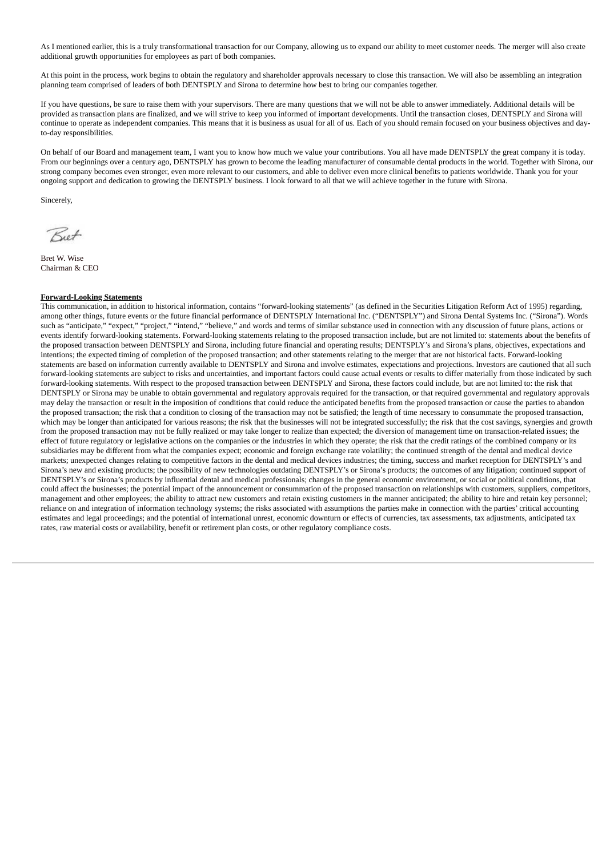As I mentioned earlier, this is a truly transformational transaction for our Company, allowing us to expand our ability to meet customer needs. The merger will also create additional growth opportunities for employees as part of both companies.

At this point in the process, work begins to obtain the regulatory and shareholder approvals necessary to close this transaction. We will also be assembling an integration planning team comprised of leaders of both DENTSPLY and Sirona to determine how best to bring our companies together.

If you have questions, be sure to raise them with your supervisors. There are many questions that we will not be able to answer immediately. Additional details will be provided as transaction plans are finalized, and we will strive to keep you informed of important developments. Until the transaction closes, DENTSPLY and Sirona will continue to operate as independent companies. This means that it is business as usual for all of us. Each of you should remain focused on your business objectives and dayto-day responsibilities.

On behalf of our Board and management team, I want you to know how much we value your contributions. You all have made DENTSPLY the great company it is today. From our beginnings over a century ago, DENTSPLY has grown to become the leading manufacturer of consumable dental products in the world. Together with Sirona, our strong company becomes even stronger, even more relevant to our customers, and able to deliver even more clinical benefits to patients worldwide. Thank you for your ongoing support and dedication to growing the DENTSPLY business. I look forward to all that we will achieve together in the future with Sirona.

Sincerely,

Riet

Bret W. Wise Chairman & CEO

## **Forward-Looking Statements**

This communication, in addition to historical information, contains "forward-looking statements" (as defined in the Securities Litigation Reform Act of 1995) regarding, among other things, future events or the future financial performance of DENTSPLY International Inc. ("DENTSPLY") and Sirona Dental Systems Inc. ("Sirona"). Words such as "anticipate," "expect," "project," "intend," "believe," and words and terms of similar substance used in connection with any discussion of future plans, actions or events identify forward-looking statements. Forward-looking statements relating to the proposed transaction include, but are not limited to: statements about the benefits of the proposed transaction between DENTSPLY and Sirona, including future financial and operating results; DENTSPLY's and Sirona's plans, objectives, expectations and intentions; the expected timing of completion of the proposed transaction; and other statements relating to the merger that are not historical facts. Forward-looking statements are based on information currently available to DENTSPLY and Sirona and involve estimates, expectations and projections. Investors are cautioned that all such forward-looking statements are subject to risks and uncertainties, and important factors could cause actual events or results to differ materially from those indicated by such forward-looking statements. With respect to the proposed transaction between DENTSPLY and Sirona, these factors could include, but are not limited to: the risk that DENTSPLY or Sirona may be unable to obtain governmental and regulatory approvals required for the transaction, or that required governmental and regulatory approvals may delay the transaction or result in the imposition of conditions that could reduce the anticipated benefits from the proposed transaction or cause the parties to abandon the proposed transaction; the risk that a condition to closing of the transaction may not be satisfied; the length of time necessary to consummate the proposed transaction, which may be longer than anticipated for various reasons; the risk that the businesses will not be integrated successfully; the risk that the cost savings, synergies and growth from the proposed transaction may not be fully realized or may take longer to realize than expected; the diversion of management time on transaction-related issues; the effect of future regulatory or legislative actions on the companies or the industries in which they operate; the risk that the credit ratings of the combined company or its subsidiaries may be different from what the companies expect; economic and foreign exchange rate volatility; the continued strength of the dental and medical device markets; unexpected changes relating to competitive factors in the dental and medical devices industries; the timing, success and market reception for DENTSPLY's and Sirona's new and existing products; the possibility of new technologies outdating DENTSPLY's or Sirona's products; the outcomes of any litigation; continued support of DENTSPLY's or Sirona's products by influential dental and medical professionals; changes in the general economic environment, or social or political conditions, that could affect the businesses; the potential impact of the announcement or consummation of the proposed transaction on relationships with customers, suppliers, competitors, management and other employees; the ability to attract new customers and retain existing customers in the manner anticipated; the ability to hire and retain key personnel; reliance on and integration of information technology systems; the risks associated with assumptions the parties make in connection with the parties' critical accounting estimates and legal proceedings; and the potential of international unrest, economic downturn or effects of currencies, tax assessments, tax adjustments, anticipated tax rates, raw material costs or availability, benefit or retirement plan costs, or other regulatory compliance costs.